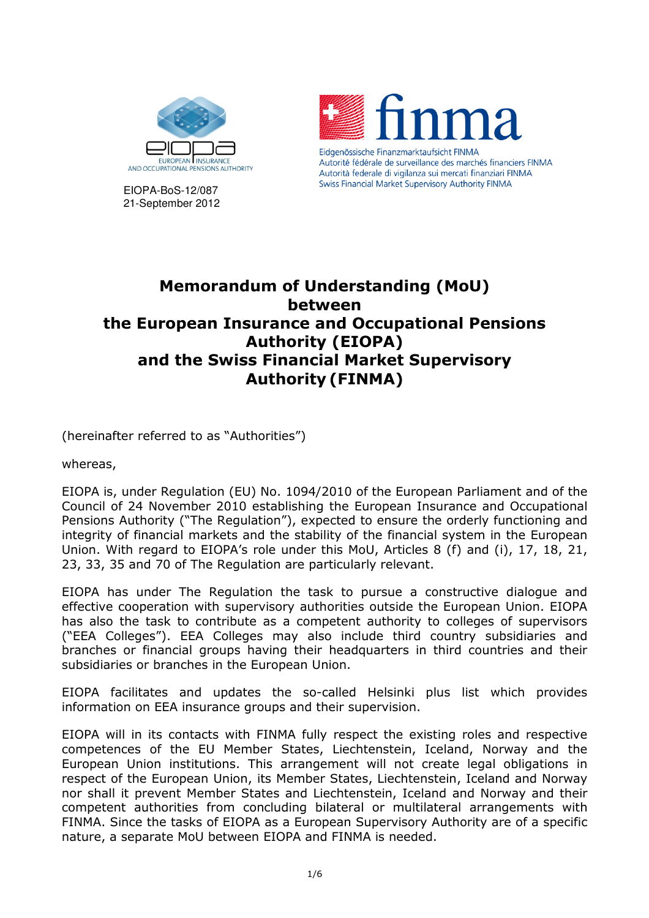

EIOPA-BoS-12/087 21-September 2012



# **Memorandum of Understanding (MoU) between the European Insurance and Occupational Pensions Authority (EIOPA) and the Swiss Financial Market Supervisory Authority (FINMA)**

(hereinafter referred to as "Authorities")

whereas,

EIOPA is, under Regulation (EU) No. 1094/2010 of the European Parliament and of the Council of 24 November 2010 establishing the European Insurance and Occupational Pensions Authority ("The Regulation"), expected to ensure the orderly functioning and integrity of financial markets and the stability of the financial system in the European Union. With regard to EIOPA's role under this MoU, Articles 8 (f) and (i), 17, 18, 21, 23, 33, 35 and 70 of The Regulation are particularly relevant.

EIOPA has under The Regulation the task to pursue a constructive dialogue and effective cooperation with supervisory authorities outside the European Union. EIOPA has also the task to contribute as a competent authority to colleges of supervisors ("EEA Colleges"). EEA Colleges may also include third country subsidiaries and branches or financial groups having their headquarters in third countries and their subsidiaries or branches in the European Union.

EIOPA facilitates and updates the so-called Helsinki plus list which provides information on EEA insurance groups and their supervision.

EIOPA will in its contacts with FINMA fully respect the existing roles and respective competences of the EU Member States, Liechtenstein, Iceland, Norway and the European Union institutions. This arrangement will not create legal obligations in respect of the European Union, its Member States, Liechtenstein, Iceland and Norway nor shall it prevent Member States and Liechtenstein, Iceland and Norway and their competent authorities from concluding bilateral or multilateral arrangements with FINMA. Since the tasks of EIOPA as a European Supervisory Authority are of a specific nature, a separate MoU between EIOPA and FINMA is needed.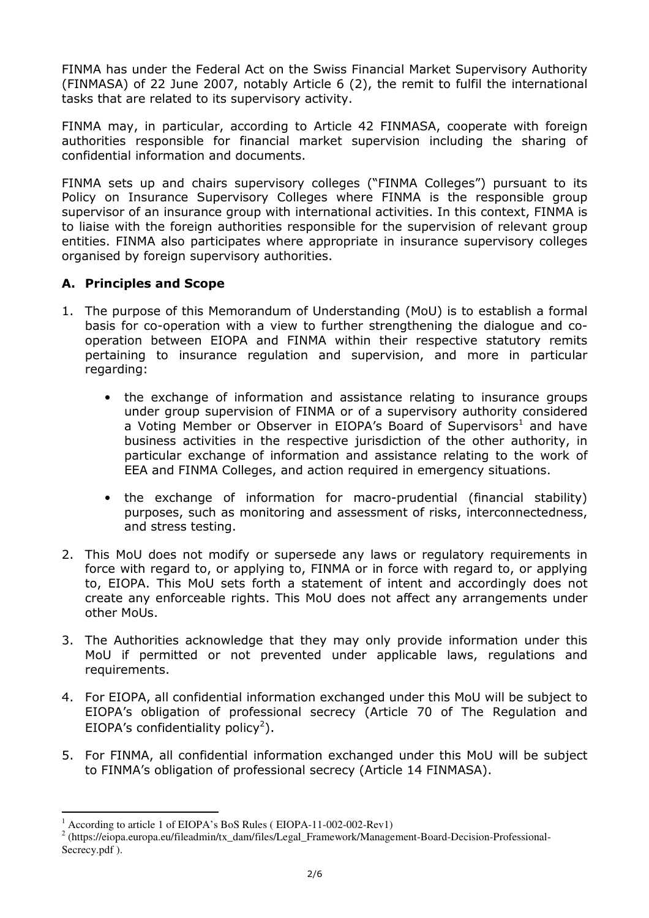FINMA has under the Federal Act on the Swiss Financial Market Supervisory Authority (FINMASA) of 22 June 2007, notably Article 6 (2), the remit to fulfil the international tasks that are related to its supervisory activity.

FINMA may, in particular, according to Article 42 FINMASA, cooperate with foreign authorities responsible for financial market supervision including the sharing of confidential information and documents.

FINMA sets up and chairs supervisory colleges ("FINMA Colleges") pursuant to its Policy on Insurance Supervisory Colleges where FINMA is the responsible group supervisor of an insurance group with international activities. In this context, FINMA is to liaise with the foreign authorities responsible for the supervision of relevant group entities. FINMA also participates where appropriate in insurance supervisory colleges organised by foreign supervisory authorities.

# **A. Principles and Scope**

- 1. The purpose of this Memorandum of Understanding (MoU) is to establish a formal basis for co-operation with a view to further strengthening the dialogue and cooperation between EIOPA and FINMA within their respective statutory remits pertaining to insurance regulation and supervision, and more in particular regarding:
	- the exchange of information and assistance relating to insurance groups under group supervision of FINMA or of a supervisory authority considered a Voting Member or Observer in EIOPA's Board of Supervisors<sup>1</sup> and have business activities in the respective jurisdiction of the other authority, in particular exchange of information and assistance relating to the work of EEA and FINMA Colleges, and action required in emergency situations.
	- the exchange of information for macro-prudential (financial stability) purposes, such as monitoring and assessment of risks, interconnectedness, and stress testing.
- 2. This MoU does not modify or supersede any laws or regulatory requirements in force with regard to, or applying to, FINMA or in force with regard to, or applying to, EIOPA. This MoU sets forth a statement of intent and accordingly does not create any enforceable rights. This MoU does not affect any arrangements under other MoUs.
- 3. The Authorities acknowledge that they may only provide information under this MoU if permitted or not prevented under applicable laws, regulations and requirements.
- 4. For EIOPA, all confidential information exchanged under this MoU will be subject to EIOPA's obligation of professional secrecy (Article 70 of The Regulation and EIOPA's confidentiality policy<sup>2</sup>).
- 5. For FINMA, all confidential information exchanged under this MoU will be subject to FINMA's obligation of professional secrecy (Article 14 FINMASA).

 $\overline{a}$ <sup>1</sup> According to article 1 of EIOPA's BoS Rules (EIOPA-11-002-002-Rev1)

<sup>&</sup>lt;sup>2</sup> (https://eiopa.europa.eu/fileadmin/tx\_dam/files/Legal\_Framework/Management-Board-Decision-Professional-Secrecy.pdf ).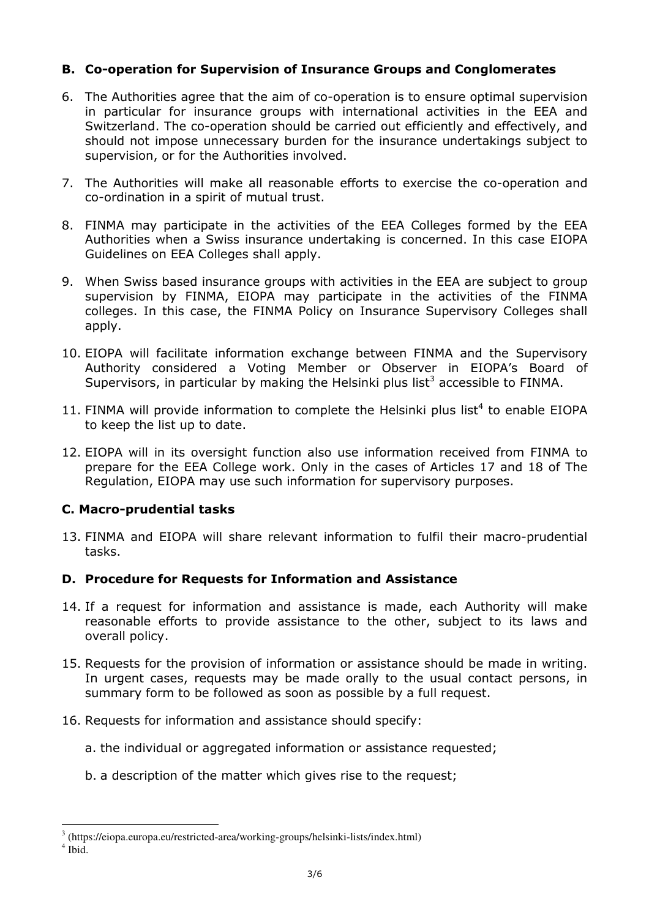# **B. Co'operation for Supervision of Insurance Groups and Conglomerates**

- 6. The Authorities agree that the aim of co-operation is to ensure optimal supervision in particular for insurance groups with international activities in the EEA and Switzerland. The co-operation should be carried out efficiently and effectively, and should not impose unnecessary burden for the insurance undertakings subject to supervision, or for the Authorities involved.
- 7. The Authorities will make all reasonable efforts to exercise the co-operation and co-ordination in a spirit of mutual trust.
- 8. FINMA may participate in the activities of the EEA Colleges formed by the EEA Authorities when a Swiss insurance undertaking is concerned. In this case EIOPA Guidelines on EEA Colleges shall apply.
- 9. When Swiss based insurance groups with activities in the EEA are subject to group supervision by FINMA, EIOPA may participate in the activities of the FINMA colleges. In this case, the FINMA Policy on Insurance Supervisory Colleges shall apply.
- 10. EIOPA will facilitate information exchange between FINMA and the Supervisory Authority considered a Voting Member or Observer in EIOPA's Board of Supervisors, in particular by making the Helsinki plus list<sup>3</sup> accessible to FINMA.
- 11. FINMA will provide information to complete the Helsinki plus list<sup>4</sup> to enable EIOPA to keep the list up to date.
- 12. EIOPA will in its oversight function also use information received from FINMA to prepare for the EEA College work. Only in the cases of Articles 17 and 18 of The Regulation, EIOPA may use such information for supervisory purposes.

# **C. Macro'prudential tasks**

13. FINMA and EIOPA will share relevant information to fulfil their macro-prudential tasks.

#### **D. Procedure for Requests for Information and Assistance**

- 14. If a request for information and assistance is made, each Authority will make reasonable efforts to provide assistance to the other, subject to its laws and overall policy.
- 15. Requests for the provision of information or assistance should be made in writing. In urgent cases, requests may be made orally to the usual contact persons, in summary form to be followed as soon as possible by a full request.
- 16. Requests for information and assistance should specify:
	- a. the individual or aggregated information or assistance requested;
	- b. a description of the matter which gives rise to the request;

 3 (https://eiopa.europa.eu/restricted-area/working-groups/helsinki-lists/index.html)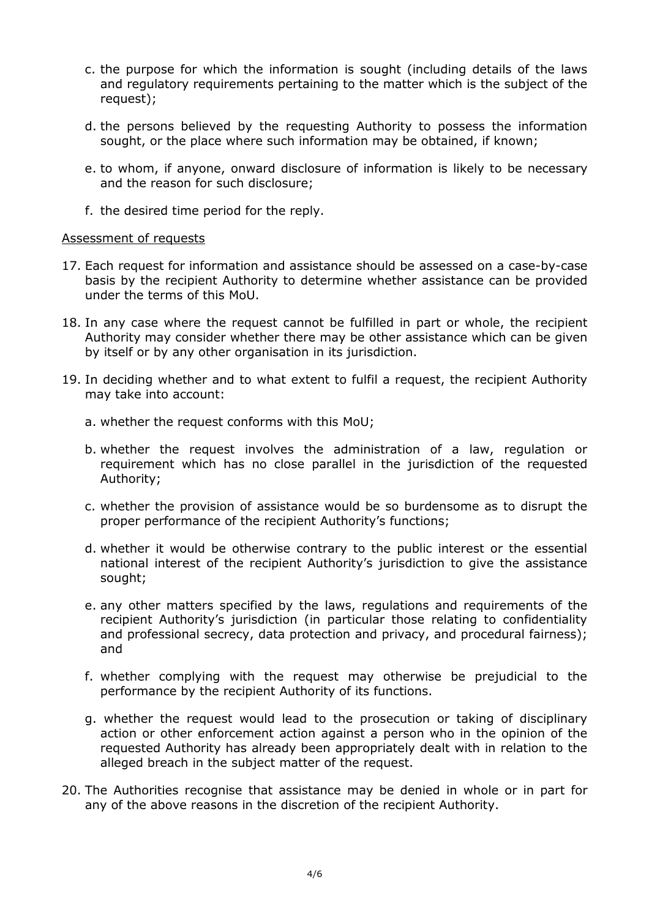- c. the purpose for which the information is sought (including details of the laws and regulatory requirements pertaining to the matter which is the subject of the request);
- d. the persons believed by the requesting Authority to possess the information sought, or the place where such information may be obtained, if known;
- e. to whom, if anyone, onward disclosure of information is likely to be necessary and the reason for such disclosure;
- f. the desired time period for the reply.

#### Assessment of requests

- 17. Each request for information and assistance should be assessed on a case-by-case basis by the recipient Authority to determine whether assistance can be provided under the terms of this MoU.
- 18. In any case where the request cannot be fulfilled in part or whole, the recipient Authority may consider whether there may be other assistance which can be given by itself or by any other organisation in its jurisdiction.
- 19. In deciding whether and to what extent to fulfil a request, the recipient Authority may take into account:
	- a. whether the request conforms with this MoU;
	- b. whether the request involves the administration of a law, regulation or requirement which has no close parallel in the jurisdiction of the requested Authority;
	- c. whether the provision of assistance would be so burdensome as to disrupt the proper performance of the recipient Authority's functions;
	- d. whether it would be otherwise contrary to the public interest or the essential national interest of the recipient Authority's jurisdiction to give the assistance sought;
	- e. any other matters specified by the laws, regulations and requirements of the recipient Authority's jurisdiction (in particular those relating to confidentiality and professional secrecy, data protection and privacy, and procedural fairness); and
	- f. whether complying with the request may otherwise be prejudicial to the performance by the recipient Authority of its functions.
	- g. whether the request would lead to the prosecution or taking of disciplinary action or other enforcement action against a person who in the opinion of the requested Authority has already been appropriately dealt with in relation to the alleged breach in the subject matter of the request.
- 20. The Authorities recognise that assistance may be denied in whole or in part for any of the above reasons in the discretion of the recipient Authority.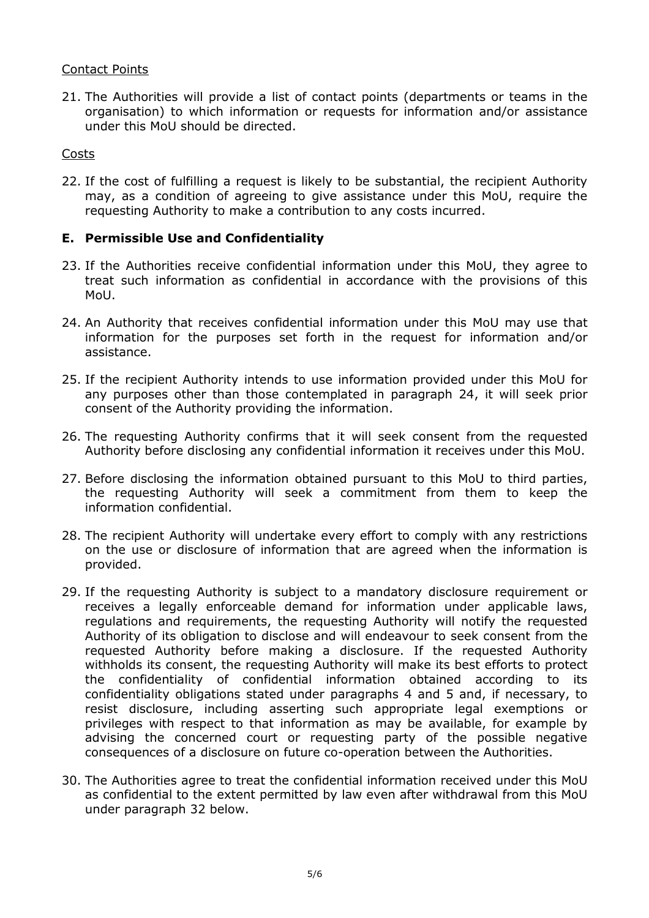### Contact Points

21. The Authorities will provide a list of contact points (departments or teams in the organisation) to which information or requests for information and/or assistance under this MoU should be directed.

### Costs

22. If the cost of fulfilling a request is likely to be substantial, the recipient Authority may, as a condition of agreeing to give assistance under this MoU, require the requesting Authority to make a contribution to any costs incurred.

# **E. Permissible Use and Confidentiality**

- 23. If the Authorities receive confidential information under this MoU, they agree to treat such information as confidential in accordance with the provisions of this MoU.
- 24. An Authority that receives confidential information under this MoU may use that information for the purposes set forth in the request for information and/or assistance.
- 25. If the recipient Authority intends to use information provided under this MoU for any purposes other than those contemplated in paragraph 24, it will seek prior consent of the Authority providing the information.
- 26. The requesting Authority confirms that it will seek consent from the requested Authority before disclosing any confidential information it receives under this MoU.
- 27. Before disclosing the information obtained pursuant to this MoU to third parties, the requesting Authority will seek a commitment from them to keep the information confidential.
- 28. The recipient Authority will undertake every effort to comply with any restrictions on the use or disclosure of information that are agreed when the information is provided.
- 29. If the requesting Authority is subject to a mandatory disclosure requirement or receives a legally enforceable demand for information under applicable laws, regulations and requirements, the requesting Authority will notify the requested Authority of its obligation to disclose and will endeavour to seek consent from the requested Authority before making a disclosure. If the requested Authority withholds its consent, the requesting Authority will make its best efforts to protect the confidentiality of confidential information obtained according to its confidentiality obligations stated under paragraphs 4 and 5 and, if necessary, to resist disclosure, including asserting such appropriate legal exemptions or privileges with respect to that information as may be available, for example by advising the concerned court or requesting party of the possible negative consequences of a disclosure on future co-operation between the Authorities.
- 30. The Authorities agree to treat the confidential information received under this MoU as confidential to the extent permitted by law even after withdrawal from this MoU under paragraph 32 below.